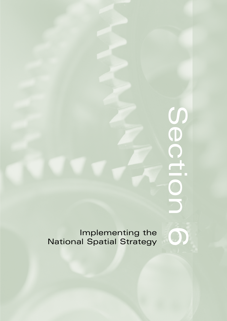# COLIOL **Section**

Implementing the **600**<br>al Spatial Strategy National Spatial Strategy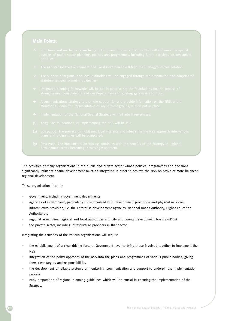- 
- 
- 
- 
- 
- 
- 
- 
- 

The activities of many organisations in the public and private sector whose policies, programmes and decisions significantly influence spatial development must be integrated in order to achieve the NSS objective of more balanced regional development.

These organisations include

- Government, including government departments
- agencies of Government, particularly those involved with development promotion and physical or social infrastructure provision, i.e. the enterprise development agencies, National Roads Authority, Higher Education Authority etc
- regional assemblies, regional and local authorities and city and county development boards (CDBs)
- the private sector, including infrastructure providers in that sector.

Integrating the activities of the various organisations will require

- the establishment of a clear driving force at Government level to bring those involved together to implement the NSS
- integration of the policy approach of the NSS into the plans and programmes of various public bodies, giving them clear targets and responsibilities
- the development of reliable systems of monitoring, communication and support to underpin the implementation process
- early preparation of regional planning guidelines which will be crucial in ensuring the implementation of the Strategy.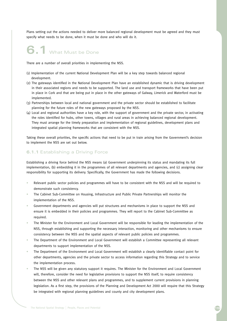Plans setting out the actions needed to deliver more balanced regional development must be agreed and they must specify what needs to be done, when it must be done and who will do it.

# **6.1** What Must be Done

There are a number of overall priorities in implementing the NSS.

- (1) Implementation of the current National Development Plan will be a key step towards balanced regional development.
- (2) The gateways identified in the National Development Plan have an established dynamic that is driving development in their associated regions and needs to be supported. The land use and transport frameworks that have been put in place in Cork and that are being put in place in the other gateways of Galway, Limerick and Waterford must be implemented.
- (3) Partnerships between local and national government and the private sector should be established to facilitate planning for the future roles of the new gateways proposed by the NSS.
- (4) Local and regional authorities have a key role, with the support of government and the private sector, in activating the roles identified for hubs, other towns, villages and rural areas in achieving balanced regional development. They must arrange for the timely preparation and implementation of regional guidelines, development plans and integrated spatial planning frameworks that are consistent with the NSS.

Taking these overall priorities, the specific actions that need to be put in train arising from the Government's decision to implement the NSS are set out below.

### **6.1.1** Establishing a Driving Force

Establishing a driving force behind the NSS means (a) Government underpinning its status and mandating its full implementation, (b) embedding it in the programmes of all relevant departments and agencies, and (c) assigning clear responsibility for supporting its delivery. Specifically, the Government has made the following decisions.

- Relevant public sector policies and programmes will have to be consistent with the NSS and will be required to demonstrate such consistency.
- The Cabinet Sub-Committee on Housing, Infrastructure and Public Private Partnerships will monitor the implementation of the NSS.
- Government departments and agencies will put structures and mechanisms in place to support the NSS and ensure it is embedded in their policies and programmes. They will report to the Cabinet Sub-Committee as required.
- The Minister for the Environment and Local Government will be responsible for leading the implementation of the NSS, through establishing and supporting the necessary interaction, monitoring and other mechanisms to ensure consistency between the NSS and the spatial aspects of relevant public policies and programmes.
- The Department of the Environment and Local Government will establish a Committee representing all relevant departments to support implementation of the NSS.
- The Department of the Environment and Local Government will establish a clearly identifiable contact point for other departments, agencies and the private sector to access information regarding this Strategy and to service the implementation process.
- The NSS will be given any statutory support it requires. The Minister for the Environment and Local Government will, therefore, consider the need for legislative provisions to support the NSS itself, to require consistency between the NSS and other relevant plans and programmes, and to supplement current provisions in planning legislation. As a first step, the provisions of the Planning and Development Act 2000 will require that this Strategy be integrated with regional planning guidelines and county and city development plans.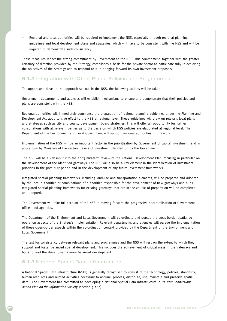• Regional and local authorities will be required to implement the NSS, especially through regional planning guidelines and local development plans and strategies, which will have to be consistent with the NSS and will be required to demonstrate such consistency.

These measures reflect the strong commitment by Government to the NSS. This commitment, together with the greater certainty of direction provided by the Strategy, establishes a basis for the private sector to participate fully in achieving the objectives of the Strategy and to respond to it in bringing forward its own investment proposals.

## **6.1.2** Integration with Other Plans, Policies and Programmes

To support and develop the approach set out in the NSS, the following actions will be taken.

Government departments and agencies will establish mechanisms to ensure and demonstrate that their policies and plans are consistent with the NSS.

Regional authorities will immediately commence the preparation of regional planning guidelines under the Planning and Development Act 2000 to give effect to the NSS at regional level. These guidelines will draw on relevant local plans and strategies such as city and county development board strategies. This will offer an opportunity for further consultations with all relevant parties as to the basis on which NSS policies are elaborated at regional level. The Department of the Environment and Local Government will support regional authorities in this work.

Implementation of the NSS will be an important factor in the prioritisation by Government of capital investment, and in allocations by Ministers of the sectoral levels of investment decided on by the Government.

The NSS will be a key input into the 2003 mid-term review of the National Development Plan, focusing in particular on the development of the identified gateways. The NSS will also be a key element in the identification of investment priorities in the post-NDP period and in the development of any future investment frameworks.

Integrated spatial planning frameworks, including land-use and transportation elements, will be prepared and adopted by the local authorities or combinations of authorities responsible for the development of new gateways and hubs. Integrated spatial planning frameworks for existing gateways that are in the course of preparation will be completed and adopted.

The Government will take full account of the NSS in moving forward the progressive decentralisation of Government offices and agencies.

The Department of the Environment and Local Government will co-ordinate and pursue the cross-border spatial cooperation aspects of the Strategy's implementation. Relevant departments and agencies will pursue the implementation of these cross-border aspects within the co-ordination context provided by the Department of the Environment and Local Government.

The test for consistency between relevant plans and programmes and the NSS will rest on the extent to which they support and foster balanced spatial development. This includes the achievement of critical mass in the gateways and hubs to lead the drive towards more balanced development.

### **6.1.3** National Spatial Data Infrastructure

A National Spatial Data Infrastructure (NSDI) is generally recognised to consist of the technology, policies, standards, human resources and related activities necessary to acquire, process, distribute, use, maintain and preserve spatial data. The Government has committed to developing a National Spatial Data Infrastructure in its *New Connections Action Plan on the Information Society* (section 3.2.10).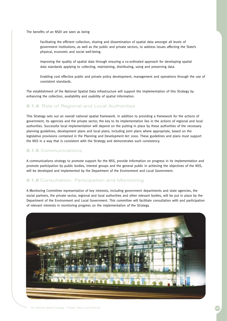The benefits of an NSDI are seen as being

Facilitating the efficient collection, sharing and dissemination of spatial data amongst all levels of government institutions, as well as the public and private sectors, to address issues affecting the State's physical, economic and social well-being.

Improving the quality of spatial data through ensuring a co-ordinated approach for developing spatial data standards applying to collecting, maintaining, distributing, using and preserving data.

Enabling cost effective public and private policy development, management and operations through the use of consistent standards.

The establishment of the National Spatial Data Infrastructure will support the implementation of this Strategy by enhancing the collection, availability and usability of spatial information.

### **6.1.4** Role of Regional and Local Authorities

This Strategy sets out an overall national spatial framework. In addition to providing a framework for the actions of government, its agencies and the private sector, the key to its implementation lies in the actions of regional and local authorities. Successful local implementation will depend on the putting in place by these authorities of the necessary planning guidelines, development plans and local plans, including joint plans where appropriate, based on the legislative provisions contained in the Planning and Development Act 2000. These guidelines and plans must support the NSS in a way that is consistent with the Strategy and demonstrates such consistency.

### **6.1.5** Communications

A communications strategy to promote support for the NSS, provide information on progress in its implementation and promote participation by public bodies, interest groups and the general public in achieving the objectives of the NSS, will be developed and implemented by the Department of the Environment and Local Government.

### **6.1.6** Consultation, Participation and Monitoring

A Monitoring Committee representative of key interests, including government departments and state agencies, the social partners, the private sector, regional and local authorities and other relevant bodies, will be put in place by the Department of the Environment and Local Government. This committee will facilitate consultation with and participation of relevant interests in monitoring progress on the implementation of the Strategy.

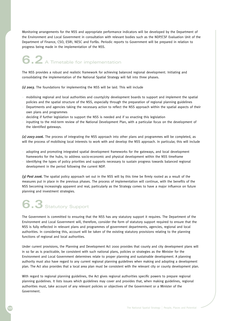Monitoring arrangements for the NSS and appropriate performance indicators will be developed by the Department of the Environment and Local Government in consultation with relevant bodies such as the NDP/CSF Evaluation Unit of the Department of Finance, CSO, ESRI, NESC and Forfás. Periodic reports to Government will be prepared in relation to progress being made in the implementation of the NSS.

**6.2** A Timetable for implementation

The NSS provides a robust and realistic framework for achieving balanced regional development. Initiating and consolidating the implementation of the National Spatial Strategy will fall into three phases.

*(1) 2003.* The foundations for implementing the NSS will be laid. This will include

- mobilising regional and local authorities and county/city development boards to support and implement the spatial policies and the spatial structure of the NSS, especially through the preparation of regional planning guidelines
- Departments and agencies taking the necessary action to reflect the NSS approach within the spatial aspects of their own plans and programmes
- deciding if further legislation to support the NSS is needed and if so enacting this legislation
- inputting to the mid-term review of the National Development Plan, with a particular focus on the development of the identified gateways.

*(2) 2003-2006.* The process of integrating the NSS approach into other plans and programmes will be completed, as will the process of mobilising local interests to work with and develop the NSS approach. In particular, this will include

- adopting and promoting integrated spatial development frameworks for the gateways, and local development frameworks for the hubs, to address socio-economic and physical development within the NSS timeframe
- identifying the types of policy priorities and supports necessary to sustain progress towards balanced regional development in the period following the current NDP.

*(3) Post 2006.* The spatial policy approach set out in the NSS will by this time be firmly rooted as a result of the measures put in place in the previous phases. The process of implementation will continue, with the benefits of the NSS becoming increasingly apparent and real, particularly as the Strategy comes to have a major influence on future planning and investment strategies.

# **6.3** Statutory Support

The Government is committed to ensuring that the NSS has any statutory support it requires. The Department of the Environment and Local Government will, therefore, consider the form of statutory support required to ensure that the NSS is fully reflected in relevant plans and programmes of government departments, agencies, regional and local authorities. In considering this, account will be taken of the existing statutory provisions relating to the planning functions of regional and local authorities.

Under current provisions, the Planning and Development Act 2000 provides that county and city development plans will in so far as is practicable, be consistent with such national plans, policies or strategies as the Minister for the Environment and Local Government determines relate to proper planning and sustainable development. A planning authority must also have regard to any current regional planning guidelines when making and adopting a development plan. The Act also provides that a local area plan must be consistent with the relevant city or county development plan.

With regard to regional planning guidelines, the Act gives regional authorities specific powers to prepare regional planning guidelines. It lists issues which guidelines may cover and provides that, when making guidelines, regional authorities must, take account of any relevant policies or objectives of the Government or a Minister of the Government.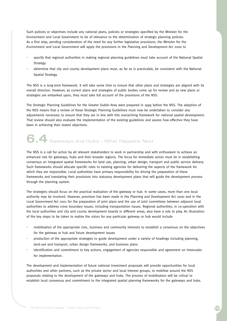Such policies or objectives include any national plans, policies or strategies specified by the Minister for the Environment and Local Government to be of relevance to the determination of strategic planning policies. As a first step, pending consideration of the need for any further legislative provisions, the Minister for the Environment and Local Government will apply the provisions in the Planning and Development Act 2000 to

- specify that regional authorities in making regional planning guidelines must take account of the National Spatial Strategy
- determine that city and county development plans must, as far as is practicable, be consistent with the National Spatial Strategy.

The NSS is a long-term framework. It will take some time to ensure that other plans and strategies are aligned with its overall direction. However, as current plans and strategies of public bodies come up for review and as new plans or strategies are embarked upon, they must take full account of the provisions of the NSS.

The Strategic Planning Guidelines for the Greater Dublin Area were prepared in 1999 before the NSS. The adoption of the NSS means that a review of these Strategic Planning Guidelines must now be undertaken to consider any adjustments necessary to ensure that they are in line with this overarching framework for national spatial development. That review should also evaluate the implementation of the existing guidelines and assess how effective they have been in achieving their stated objectives.

# **6.4** Gateways and Hubs – What Happens Next

The NSS is a call for action by all relevant stakeholders to work in partnership and with enthusiasm to achieve an enhanced role for gateways, hubs and their broader regions. The focus for immediate action must lie in establishing consensus on integrated spatial frameworks for land use, planning, urban design, transport and public service delivery. Such frameworks should allocate specific roles to existing agencies for delivering the aspects of the framework for which they are responsible. Local authorities have primary responsibility for driving the preparation of these frameworks and translating their provisions into statutory development plans that will guide the development process through the planning system.

The strategies should focus on the practical realisation of the gateway or hub. In some cases, more than one local authority may be involved. However, provision has been made in the Planning and Development Act 2000 and in the Local Government Act 2001 for the preparation of joint plans and the use of joint committees between adjacent local authorities to address cross boundary issues, including transportation issues. Regional authorities, in co-operation with the local authorities and city and county development boards in different areas, also have a role to play. An illustration of the key steps to be taken to realise the vision for any particular gateway or hub would include

- mobilisation of the appropriate civic, business and community interests to establish a consensus on the objectives for the gateway or hub and future development issues
- production of the appropriate strategies to guide development under a variety of headings including planning, land-use and transport, urban design frameworks, and business plans
- identification and commitment to key actions, engagement of agencies responsible and agreement on timescales for implementation.

The development and implementation of future national investment proposals will provide opportunities for local authorities and other partners, such as the private sector and local interest groups, to mobilise around the NSS proposals relating to the development of the gateways and hubs. The process of mobilisation will be critical to establish local consensus and commitment to the integrated spatial planning frameworks for the gateways and hubs.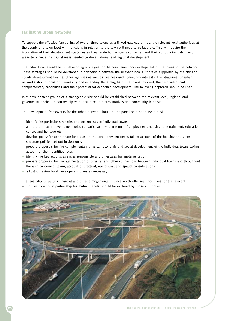### **Facilitating Urban Networks**

To support the effective functioning of two or three towns as a linked gateway or hub, the relevant local authorities at the county and town level with functions in relation to the town will need to collaborate. This will require the integration of their development strategies as they relate to the towns concerned and their surrounding catchment areas to achieve the critical mass needed to drive national and regional development.

The initial focus should be on developing strategies for the complementary development of the towns in the network. These strategies should be developed in partnership between the relevant local authorities supported by the city and county development boards, other agencies as well as business and community interests. The strategies for urban networks should focus on harnessing and extending the strengths of the towns involved, their individual and complementary capabilities and their potential for economic development. The following approach should be used.

Joint development groups of a manageable size should be established between the relevant local, regional and government bodies, in partnership with local elected representatives and community interests.

The development frameworks for the urban network should be prepared on a partnership basis to

- identify the particular strengths and weaknesses of individual towns
- allocate particular development roles to particular towns in terms of employment, housing, entertainment, education, culture and heritage etc
- develop policy for appropriate land uses in the areas between towns taking account of the housing and green structure policies set out in Section 5
- prepare proposals for the complementary physical, economic and social development of the individual towns taking account of their identified roles
- identify the key actions, agencies responsible and timescales for implementation
- prepare proposals for the augmentation of physical and other connections between individual towns and throughout the area concerned, taking account of practical, operational and spatial considerations
- adjust or review local development plans as necessary

The feasibility of putting financial and other arrangements in place which offer real incentives for the relevant authorities to work in partnership for mutual benefit should be explored by those authorities.